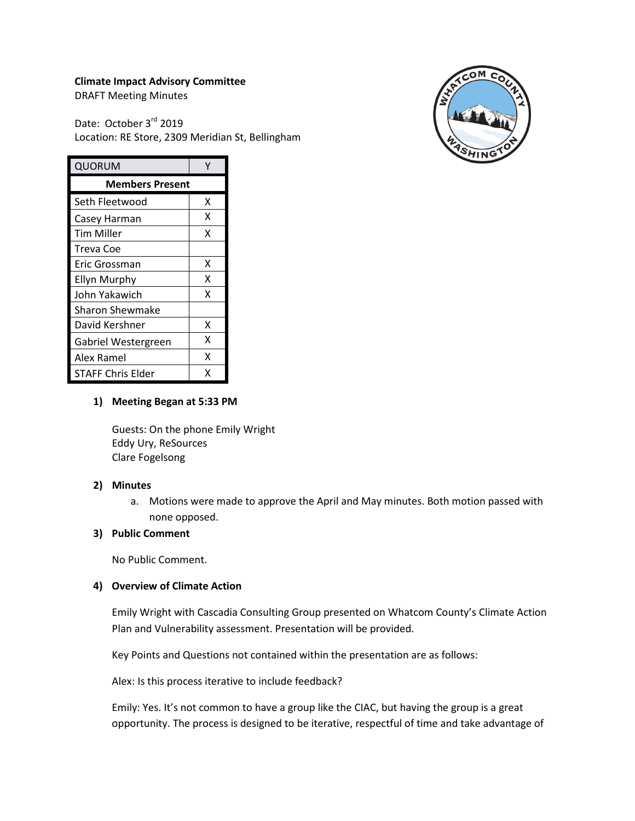## **Climate Impact Advisory Committee**

DRAFT Meeting Minutes

Date: October 3rd 2019 Location: RE Store, 2309 Meridian St, Bellingham



| QUORUM                 | v |
|------------------------|---|
| <b>Members Present</b> |   |
|                        |   |
| Seth Fleetwood         | x |
| Casey Harman           | x |
| Tim Miller             | x |
| Treva Coe              |   |
| Eric Grossman          | x |
| <b>Ellyn Murphy</b>    | x |
| John Yakawich          | x |
| Sharon Shewmake        |   |
| David Kershner         | x |
| Gabriel Westergreen    | x |
| Alex Ramel             | x |
| STAFF Chris Elder      | x |

## **1) Meeting Began at 5:33 PM**

Guests: On the phone Emily Wright Eddy Ury, ReSources Clare Fogelsong

### **2) Minutes**

a. Motions were made to approve the April and May minutes. Both motion passed with none opposed.

# **3) Public Comment**

No Public Comment.

### **4) Overview of Climate Action**

Emily Wright with Cascadia Consulting Group presented on Whatcom County's Climate Action Plan and Vulnerability assessment. Presentation will be provided.

Key Points and Questions not contained within the presentation are as follows:

Alex: Is this process iterative to include feedback?

Emily: Yes. It's not common to have a group like the CIAC, but having the group is a great opportunity. The process is designed to be iterative, respectful of time and take advantage of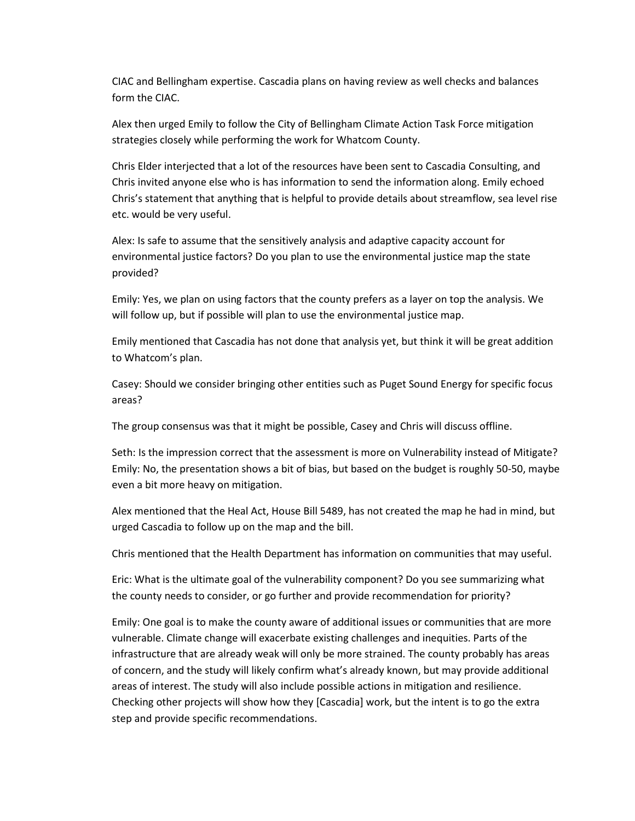CIAC and Bellingham expertise. Cascadia plans on having review as well checks and balances form the CIAC.

Alex then urged Emily to follow the City of Bellingham Climate Action Task Force mitigation strategies closely while performing the work for Whatcom County.

Chris Elder interjected that a lot of the resources have been sent to Cascadia Consulting, and Chris invited anyone else who is has information to send the information along. Emily echoed Chris's statement that anything that is helpful to provide details about streamflow, sea level rise etc. would be very useful.

Alex: Is safe to assume that the sensitively analysis and adaptive capacity account for environmental justice factors? Do you plan to use the environmental justice map the state provided?

Emily: Yes, we plan on using factors that the county prefers as a layer on top the analysis. We will follow up, but if possible will plan to use the environmental justice map.

Emily mentioned that Cascadia has not done that analysis yet, but think it will be great addition to Whatcom's plan.

Casey: Should we consider bringing other entities such as Puget Sound Energy for specific focus areas?

The group consensus was that it might be possible, Casey and Chris will discuss offline.

Seth: Is the impression correct that the assessment is more on Vulnerability instead of Mitigate? Emily: No, the presentation shows a bit of bias, but based on the budget is roughly 50-50, maybe even a bit more heavy on mitigation.

Alex mentioned that the Heal Act, House Bill 5489, has not created the map he had in mind, but urged Cascadia to follow up on the map and the bill.

Chris mentioned that the Health Department has information on communities that may useful.

Eric: What is the ultimate goal of the vulnerability component? Do you see summarizing what the county needs to consider, or go further and provide recommendation for priority?

Emily: One goal is to make the county aware of additional issues or communities that are more vulnerable. Climate change will exacerbate existing challenges and inequities. Parts of the infrastructure that are already weak will only be more strained. The county probably has areas of concern, and the study will likely confirm what's already known, but may provide additional areas of interest. The study will also include possible actions in mitigation and resilience. Checking other projects will show how they [Cascadia] work, but the intent is to go the extra step and provide specific recommendations.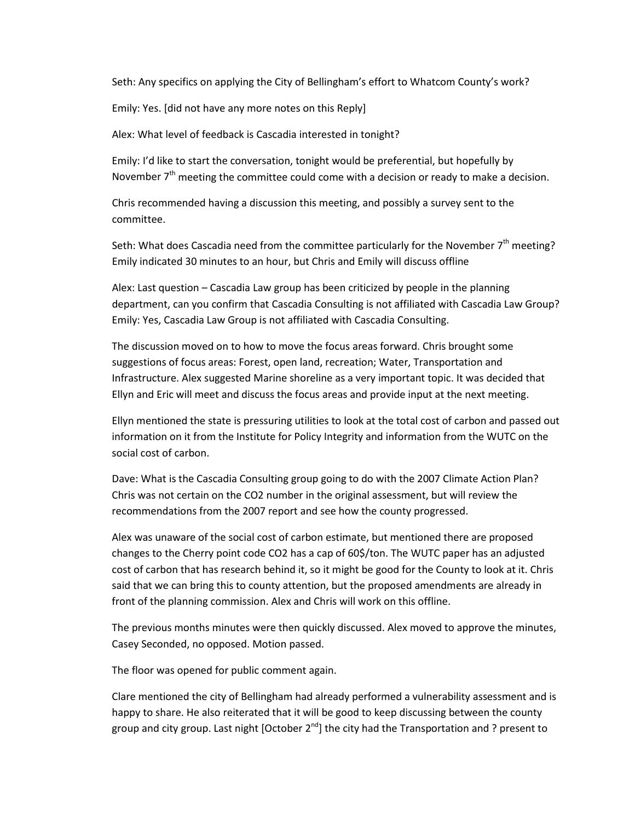Seth: Any specifics on applying the City of Bellingham's effort to Whatcom County's work?

Emily: Yes. [did not have any more notes on this Reply]

Alex: What level of feedback is Cascadia interested in tonight?

Emily: I'd like to start the conversation, tonight would be preferential, but hopefully by November  $7<sup>th</sup>$  meeting the committee could come with a decision or ready to make a decision.

Chris recommended having a discussion this meeting, and possibly a survey sent to the committee.

Seth: What does Cascadia need from the committee particularly for the November  $7<sup>th</sup>$  meeting? Emily indicated 30 minutes to an hour, but Chris and Emily will discuss offline

Alex: Last question – Cascadia Law group has been criticized by people in the planning department, can you confirm that Cascadia Consulting is not affiliated with Cascadia Law Group? Emily: Yes, Cascadia Law Group is not affiliated with Cascadia Consulting.

The discussion moved on to how to move the focus areas forward. Chris brought some suggestions of focus areas: Forest, open land, recreation; Water, Transportation and Infrastructure. Alex suggested Marine shoreline as a very important topic. It was decided that Ellyn and Eric will meet and discuss the focus areas and provide input at the next meeting.

Ellyn mentioned the state is pressuring utilities to look at the total cost of carbon and passed out information on it from the Institute for Policy Integrity and information from the WUTC on the social cost of carbon.

Dave: What is the Cascadia Consulting group going to do with the 2007 Climate Action Plan? Chris was not certain on the CO2 number in the original assessment, but will review the recommendations from the 2007 report and see how the county progressed.

Alex was unaware of the social cost of carbon estimate, but mentioned there are proposed changes to the Cherry point code CO2 has a cap of 60\$/ton. The WUTC paper has an adjusted cost of carbon that has research behind it, so it might be good for the County to look at it. Chris said that we can bring this to county attention, but the proposed amendments are already in front of the planning commission. Alex and Chris will work on this offline.

The previous months minutes were then quickly discussed. Alex moved to approve the minutes, Casey Seconded, no opposed. Motion passed.

The floor was opened for public comment again.

Clare mentioned the city of Bellingham had already performed a vulnerability assessment and is happy to share. He also reiterated that it will be good to keep discussing between the county group and city group. Last night [October  $2^{nd}$ ] the city had the Transportation and ? present to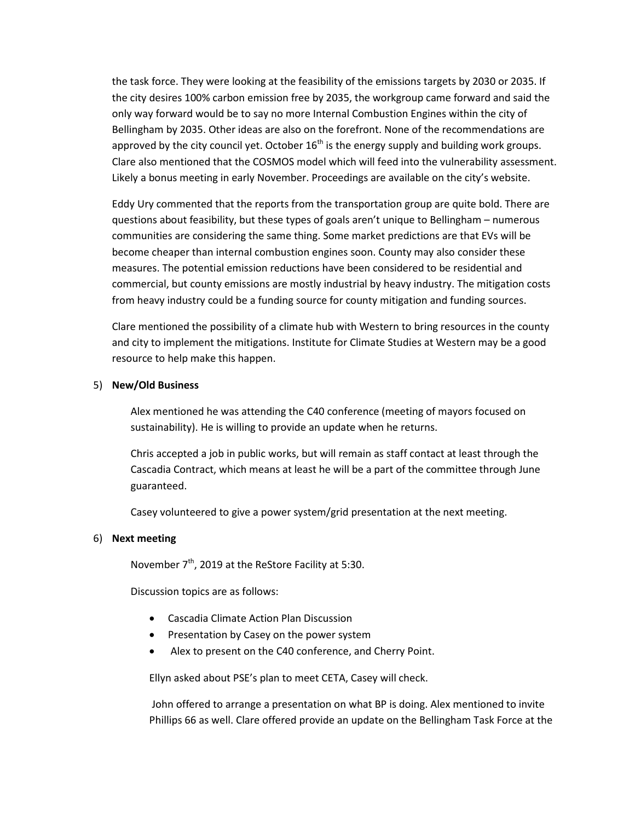the task force. They were looking at the feasibility of the emissions targets by 2030 or 2035. If the city desires 100% carbon emission free by 2035, the workgroup came forward and said the only way forward would be to say no more Internal Combustion Engines within the city of Bellingham by 2035. Other ideas are also on the forefront. None of the recommendations are approved by the city council yet. October  $16<sup>th</sup>$  is the energy supply and building work groups. Clare also mentioned that the COSMOS model which will feed into the vulnerability assessment. Likely a bonus meeting in early November. Proceedings are available on the city's website.

Eddy Ury commented that the reports from the transportation group are quite bold. There are questions about feasibility, but these types of goals aren't unique to Bellingham – numerous communities are considering the same thing. Some market predictions are that EVs will be become cheaper than internal combustion engines soon. County may also consider these measures. The potential emission reductions have been considered to be residential and commercial, but county emissions are mostly industrial by heavy industry. The mitigation costs from heavy industry could be a funding source for county mitigation and funding sources.

Clare mentioned the possibility of a climate hub with Western to bring resources in the county and city to implement the mitigations. Institute for Climate Studies at Western may be a good resource to help make this happen.

### 5) **New/Old Business**

Alex mentioned he was attending the C40 conference (meeting of mayors focused on sustainability). He is willing to provide an update when he returns.

Chris accepted a job in public works, but will remain as staff contact at least through the Cascadia Contract, which means at least he will be a part of the committee through June guaranteed.

Casey volunteered to give a power system/grid presentation at the next meeting.

### 6) **Next meeting**

November 7<sup>th</sup>, 2019 at the ReStore Facility at 5:30.

Discussion topics are as follows:

- Cascadia Climate Action Plan Discussion
- Presentation by Casey on the power system
- Alex to present on the C40 conference, and Cherry Point.

Ellyn asked about PSE's plan to meet CETA, Casey will check.

John offered to arrange a presentation on what BP is doing. Alex mentioned to invite Phillips 66 as well. Clare offered provide an update on the Bellingham Task Force at the